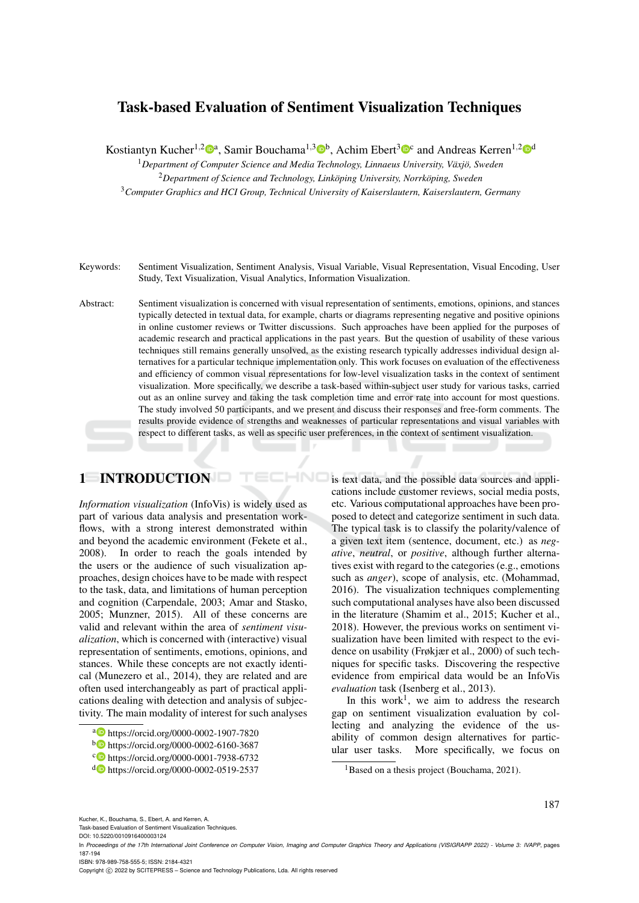# Task-based Evaluation of Sentiment Visualization Techniques

Kostiantyn Kucher<sup>1,2</sup><sup>0</sup><sup>a</sup>, Samir Bouchama<sup>1,3</sup><sup>0</sup><sup>b</sup>, Achim Ebert<sup>3</sup><sup>0</sup><sup>c</sup> and Andreas Kerren<sup>1,2</sup><sup>0</sup><sup>d</sup>

<sup>1</sup>Department of Computer Science and Media Technology, Linnaeus University, Växjö, Sweden <sup>2</sup>Department of Science and Technology, Linköping University, Norrköping, Sweden <sup>3</sup>*Computer Graphics and HCI Group, Technical University of Kaiserslautern, Kaiserslautern, Germany*

Keywords: Sentiment Visualization, Sentiment Analysis, Visual Variable, Visual Representation, Visual Encoding, User Study, Text Visualization, Visual Analytics, Information Visualization.

Abstract: Sentiment visualization is concerned with visual representation of sentiments, emotions, opinions, and stances typically detected in textual data, for example, charts or diagrams representing negative and positive opinions in online customer reviews or Twitter discussions. Such approaches have been applied for the purposes of academic research and practical applications in the past years. But the question of usability of these various techniques still remains generally unsolved, as the existing research typically addresses individual design alternatives for a particular technique implementation only. This work focuses on evaluation of the effectiveness and efficiency of common visual representations for low-level visualization tasks in the context of sentiment visualization. More specifically, we describe a task-based within-subject user study for various tasks, carried out as an online survey and taking the task completion time and error rate into account for most questions. The study involved 50 participants, and we present and discuss their responses and free-form comments. The results provide evidence of strengths and weaknesses of particular representations and visual variables with respect to different tasks, as well as specific user preferences, in the context of sentiment visualization.

HNC

# 1 INTRODUCTION

*Information visualization* (InfoVis) is widely used as part of various data analysis and presentation workflows, with a strong interest demonstrated within and beyond the academic environment (Fekete et al., 2008). In order to reach the goals intended by the users or the audience of such visualization approaches, design choices have to be made with respect to the task, data, and limitations of human perception and cognition (Carpendale, 2003; Amar and Stasko, 2005; Munzner, 2015). All of these concerns are valid and relevant within the area of *sentiment visualization*, which is concerned with (interactive) visual representation of sentiments, emotions, opinions, and stances. While these concepts are not exactly identical (Munezero et al., 2014), they are related and are often used interchangeably as part of practical applications dealing with detection and analysis of subjectivity. The main modality of interest for such analyses

- <sup>a</sup> https://orcid.org/0000-0002-1907-7820
- <sup>b</sup> https://orcid.org/0000-0002-6160-3687
- c https://orcid.org/0000-0001-7938-6732
- <sup>d</sup> https://orcid.org/0000-0002-0519-2537

is text data, and the possible data sources and applications include customer reviews, social media posts, etc. Various computational approaches have been proposed to detect and categorize sentiment in such data. The typical task is to classify the polarity/valence of a given text item (sentence, document, etc.) as *negative*, *neutral*, or *positive*, although further alternatives exist with regard to the categories (e.g., emotions such as *anger*), scope of analysis, etc. (Mohammad, 2016). The visualization techniques complementing such computational analyses have also been discussed in the literature (Shamim et al., 2015; Kucher et al., 2018). However, the previous works on sentiment visualization have been limited with respect to the evidence on usability (Frøkjær et al., 2000) of such techniques for specific tasks. Discovering the respective evidence from empirical data would be an InfoVis *evaluation* task (Isenberg et al., 2013).

In this work<sup>1</sup>, we aim to address the research gap on sentiment visualization evaluation by collecting and analyzing the evidence of the usability of common design alternatives for particular user tasks. More specifically, we focus on

187

Kucher, K., Bouchama, S., Ebert, A. and Kerren, A.

Task-based Evaluation of Sentiment Visualization Techniques.

ISBN: 978-989-758-555-5; ISSN: 2184-4321

Copyright (C) 2022 by SCITEPRESS - Science and Technology Publications, Lda. All rights reserved

<sup>&</sup>lt;sup>1</sup>Based on a thesis project (Bouchama, 2021).

DOI: 10.5220/0010916400003124

In *Proceedings of the 17th International Joint Conference on Computer Vision, Imaging and Computer Graphics Theory and Applications (VISIGRAPP 2022) - Volume 3: IVAPP*, pages 187-194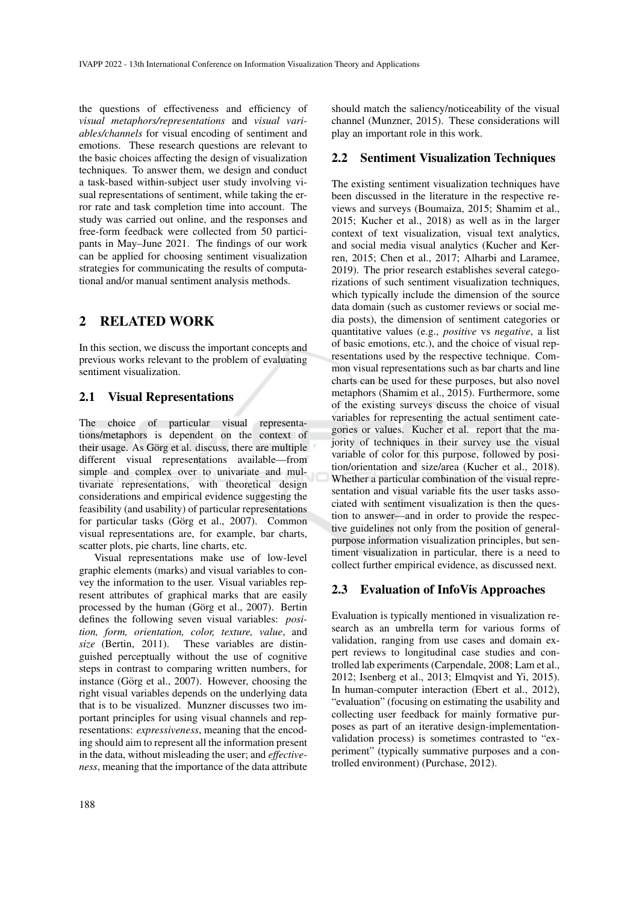the questions of effectiveness and efficiency of *visual metaphors/representations* and *visual variables/channels* for visual encoding of sentiment and emotions. These research questions are relevant to the basic choices affecting the design of visualization techniques. To answer them, we design and conduct a task-based within-subject user study involving visual representations of sentiment, while taking the error rate and task completion time into account. The study was carried out online, and the responses and free-form feedback were collected from 50 participants in May–June 2021. The findings of our work can be applied for choosing sentiment visualization strategies for communicating the results of computational and/or manual sentiment analysis methods.

# 2 RELATED WORK

In this section, we discuss the important concepts and previous works relevant to the problem of evaluating sentiment visualization.

#### 2.1 Visual Representations

The choice of particular visual representations/metaphors is dependent on the context of their usage. As Görg et al. discuss, there are multiple different visual representations available—from simple and complex over to univariate and multivariate representations, with theoretical design considerations and empirical evidence suggesting the feasibility (and usability) of particular representations for particular tasks (Görg et al., 2007). Common visual representations are, for example, bar charts, scatter plots, pie charts, line charts, etc.

Visual representations make use of low-level graphic elements (marks) and visual variables to convey the information to the user. Visual variables represent attributes of graphical marks that are easily processed by the human (Görg et al., 2007). Bertin defines the following seven visual variables: *position, form, orientation, color, texture, value*, and *size* (Bertin, 2011). These variables are distinguished perceptually without the use of cognitive steps in contrast to comparing written numbers, for instance (Görg et al., 2007). However, choosing the right visual variables depends on the underlying data that is to be visualized. Munzner discusses two important principles for using visual channels and representations: *expressiveness*, meaning that the encoding should aim to represent all the information present in the data, without misleading the user; and *effectiveness*, meaning that the importance of the data attribute

should match the saliency/noticeability of the visual channel (Munzner, 2015). These considerations will play an important role in this work.

#### 2.2 Sentiment Visualization Techniques

The existing sentiment visualization techniques have been discussed in the literature in the respective reviews and surveys (Boumaiza, 2015; Shamim et al., 2015; Kucher et al., 2018) as well as in the larger context of text visualization, visual text analytics, and social media visual analytics (Kucher and Kerren, 2015; Chen et al., 2017; Alharbi and Laramee, 2019). The prior research establishes several categorizations of such sentiment visualization techniques, which typically include the dimension of the source data domain (such as customer reviews or social media posts), the dimension of sentiment categories or quantitative values (e.g., *positive* vs *negative*, a list of basic emotions, etc.), and the choice of visual representations used by the respective technique. Common visual representations such as bar charts and line charts can be used for these purposes, but also novel metaphors (Shamim et al., 2015). Furthermore, some of the existing surveys discuss the choice of visual variables for representing the actual sentiment categories or values. Kucher et al. report that the majority of techniques in their survey use the visual variable of color for this purpose, followed by position/orientation and size/area (Kucher et al., 2018). Whether a particular combination of the visual representation and visual variable fits the user tasks associated with sentiment visualization is then the question to answer—and in order to provide the respective guidelines not only from the position of generalpurpose information visualization principles, but sentiment visualization in particular, there is a need to collect further empirical evidence, as discussed next.

#### 2.3 Evaluation of InfoVis Approaches

Evaluation is typically mentioned in visualization research as an umbrella term for various forms of validation, ranging from use cases and domain expert reviews to longitudinal case studies and controlled lab experiments (Carpendale, 2008; Lam et al., 2012; Isenberg et al., 2013; Elmqvist and Yi, 2015). In human-computer interaction (Ebert et al., 2012), "evaluation" (focusing on estimating the usability and collecting user feedback for mainly formative purposes as part of an iterative design-implementationvalidation process) is sometimes contrasted to "experiment" (typically summative purposes and a controlled environment) (Purchase, 2012).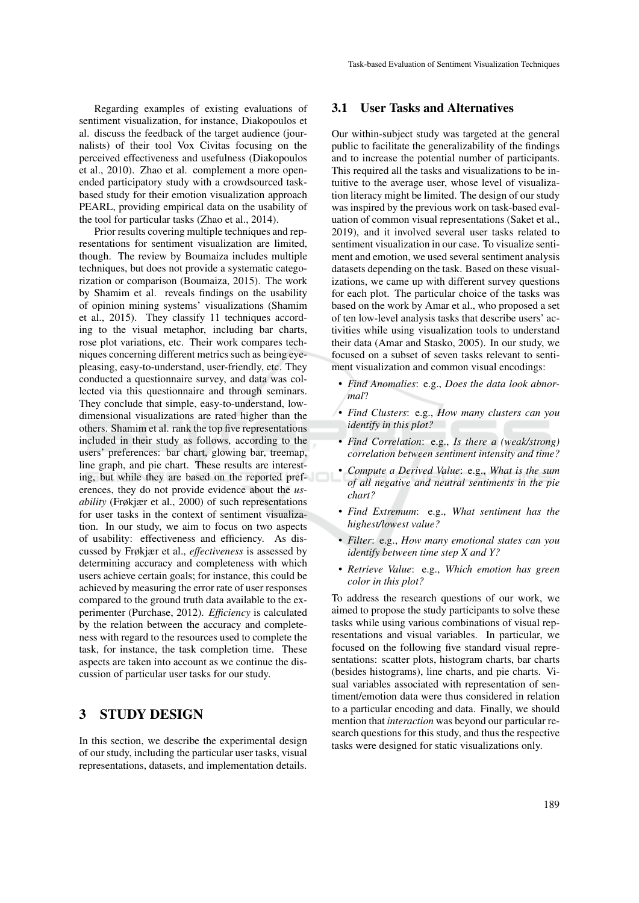Regarding examples of existing evaluations of sentiment visualization, for instance, Diakopoulos et al. discuss the feedback of the target audience (journalists) of their tool Vox Civitas focusing on the perceived effectiveness and usefulness (Diakopoulos et al., 2010). Zhao et al. complement a more openended participatory study with a crowdsourced taskbased study for their emotion visualization approach PEARL, providing empirical data on the usability of the tool for particular tasks (Zhao et al., 2014).

Prior results covering multiple techniques and representations for sentiment visualization are limited, though. The review by Boumaiza includes multiple techniques, but does not provide a systematic categorization or comparison (Boumaiza, 2015). The work by Shamim et al. reveals findings on the usability of opinion mining systems' visualizations (Shamim et al., 2015). They classify 11 techniques according to the visual metaphor, including bar charts, rose plot variations, etc. Their work compares techniques concerning different metrics such as being eyepleasing, easy-to-understand, user-friendly, etc. They conducted a questionnaire survey, and data was collected via this questionnaire and through seminars. They conclude that simple, easy-to-understand, lowdimensional visualizations are rated higher than the others. Shamim et al. rank the top five representations included in their study as follows, according to the users' preferences: bar chart, glowing bar, treemap, line graph, and pie chart. These results are interesting, but while they are based on the reported preferences, they do not provide evidence about the *usability* (Frøkjær et al., 2000) of such representations for user tasks in the context of sentiment visualization. In our study, we aim to focus on two aspects of usability: effectiveness and efficiency. As discussed by Frøkjær et al., *effectiveness* is assessed by determining accuracy and completeness with which users achieve certain goals; for instance, this could be achieved by measuring the error rate of user responses compared to the ground truth data available to the experimenter (Purchase, 2012). *Efficiency* is calculated by the relation between the accuracy and completeness with regard to the resources used to complete the task, for instance, the task completion time. These aspects are taken into account as we continue the discussion of particular user tasks for our study.

# 3 STUDY DESIGN

In this section, we describe the experimental design of our study, including the particular user tasks, visual representations, datasets, and implementation details.

#### 3.1 User Tasks and Alternatives

Our within-subject study was targeted at the general public to facilitate the generalizability of the findings and to increase the potential number of participants. This required all the tasks and visualizations to be intuitive to the average user, whose level of visualization literacy might be limited. The design of our study was inspired by the previous work on task-based evaluation of common visual representations (Saket et al., 2019), and it involved several user tasks related to sentiment visualization in our case. To visualize sentiment and emotion, we used several sentiment analysis datasets depending on the task. Based on these visualizations, we came up with different survey questions for each plot. The particular choice of the tasks was based on the work by Amar et al., who proposed a set of ten low-level analysis tasks that describe users' activities while using visualization tools to understand their data (Amar and Stasko, 2005). In our study, we focused on a subset of seven tasks relevant to sentiment visualization and common visual encodings:

- *Find Anomalies*: e.g., *Does the data look abnormal*?
- *Find Clusters*: e.g., *How many clusters can you identify in this plot?*
- *Find Correlation*: e.g., *Is there a (weak/strong) correlation between sentiment intensity and time?*
- *Compute a Derived Value*: e.g., *What is the sum of all negative and neutral sentiments in the pie chart?*
- *Find Extremum*: e.g., *What sentiment has the highest/lowest value?*
- *Filter*: e.g., *How many emotional states can you identify between time step X and Y?*
- *Retrieve Value*: e.g., *Which emotion has green color in this plot?*

To address the research questions of our work, we aimed to propose the study participants to solve these tasks while using various combinations of visual representations and visual variables. In particular, we focused on the following five standard visual representations: scatter plots, histogram charts, bar charts (besides histograms), line charts, and pie charts. Visual variables associated with representation of sentiment/emotion data were thus considered in relation to a particular encoding and data. Finally, we should mention that *interaction* was beyond our particular research questions for this study, and thus the respective tasks were designed for static visualizations only.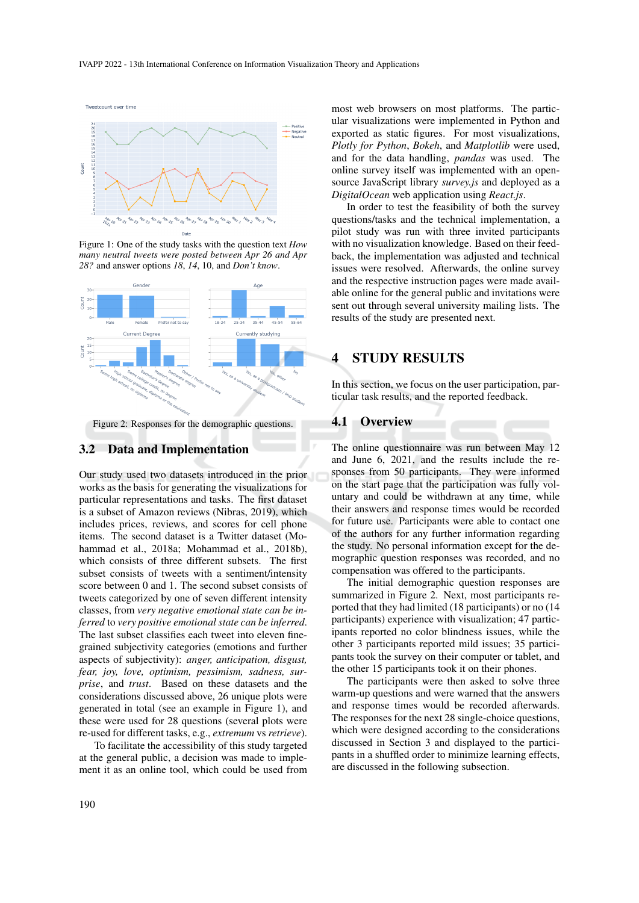Tweetcount over time



Figure 1: One of the study tasks with the question text *How many neutral tweets were posted between Apr 26 and Apr 28?* and answer options *18*, *14*, 10, and *Don't know*.



Figure 2: Responses for the demographic questions.

#### 3.2 Data and Implementation

Our study used two datasets introduced in the prior works as the basis for generating the visualizations for particular representations and tasks. The first dataset is a subset of Amazon reviews (Nibras, 2019), which includes prices, reviews, and scores for cell phone items. The second dataset is a Twitter dataset (Mohammad et al., 2018a; Mohammad et al., 2018b), which consists of three different subsets. The first subset consists of tweets with a sentiment/intensity score between 0 and 1. The second subset consists of tweets categorized by one of seven different intensity classes, from *very negative emotional state can be inferred* to *very positive emotional state can be inferred*. The last subset classifies each tweet into eleven finegrained subjectivity categories (emotions and further aspects of subjectivity): *anger, anticipation, disgust, fear, joy, love, optimism, pessimism, sadness, surprise*, and *trust*. Based on these datasets and the considerations discussed above, 26 unique plots were generated in total (see an example in Figure 1), and these were used for 28 questions (several plots were re-used for different tasks, e.g., *extremum* vs *retrieve*).

To facilitate the accessibility of this study targeted at the general public, a decision was made to implement it as an online tool, which could be used from most web browsers on most platforms. The particular visualizations were implemented in Python and exported as static figures. For most visualizations, *Plotly for Python*, *Bokeh*, and *Matplotlib* were used, and for the data handling, *pandas* was used. The online survey itself was implemented with an opensource JavaScript library *survey.js* and deployed as a *DigitalOcean* web application using *React.js*.

In order to test the feasibility of both the survey questions/tasks and the technical implementation, a pilot study was run with three invited participants with no visualization knowledge. Based on their feedback, the implementation was adjusted and technical issues were resolved. Afterwards, the online survey and the respective instruction pages were made available online for the general public and invitations were sent out through several university mailing lists. The results of the study are presented next.

# 4 STUDY RESULTS

In this section, we focus on the user participation, particular task results, and the reported feedback.

#### 4.1 Overview

The online questionnaire was run between May 12 and June 6, 2021, and the results include the responses from 50 participants. They were informed on the start page that the participation was fully voluntary and could be withdrawn at any time, while their answers and response times would be recorded for future use. Participants were able to contact one of the authors for any further information regarding the study. No personal information except for the demographic question responses was recorded, and no compensation was offered to the participants.

The initial demographic question responses are summarized in Figure 2. Next, most participants reported that they had limited (18 participants) or no (14 participants) experience with visualization; 47 participants reported no color blindness issues, while the other 3 participants reported mild issues; 35 participants took the survey on their computer or tablet, and the other 15 participants took it on their phones.

The participants were then asked to solve three warm-up questions and were warned that the answers and response times would be recorded afterwards. The responses for the next 28 single-choice questions, which were designed according to the considerations discussed in Section 3 and displayed to the participants in a shuffled order to minimize learning effects, are discussed in the following subsection.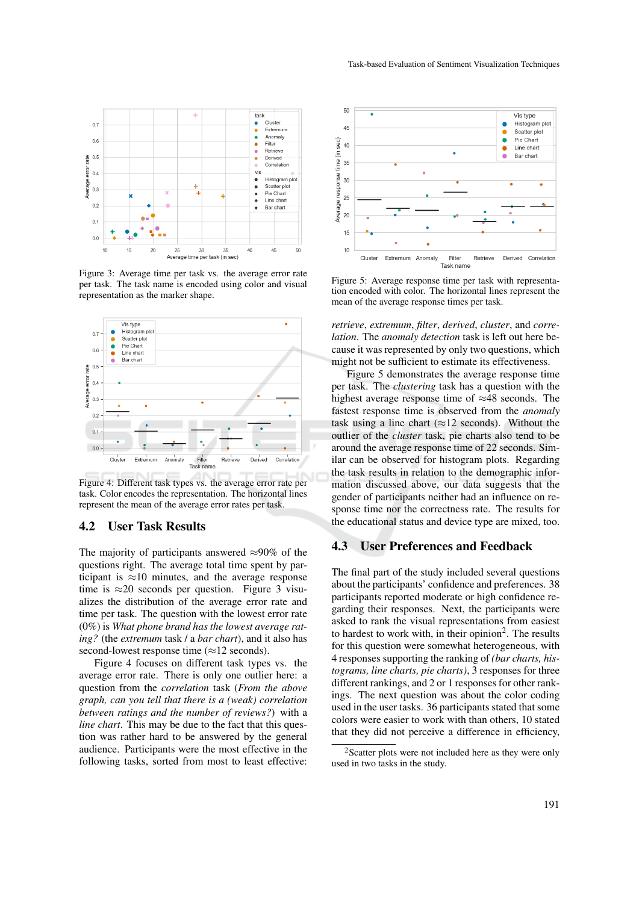

Figure 3: Average time per task vs. the average error rate per task. The task name is encoded using color and visual representation as the marker shape.



Figure 4: Different task types vs. the average error rate per task. Color encodes the representation. The horizontal lines represent the mean of the average error rates per task.

#### 4.2 User Task Results

The majority of participants answered  $\approx 90\%$  of the questions right. The average total time spent by participant is  $\approx$ 10 minutes, and the average response time is  $\approx$ 20 seconds per question. Figure 3 visualizes the distribution of the average error rate and time per task. The question with the lowest error rate (0%) is *What phone brand has the lowest average rating?* (the *extremum* task / a *bar chart*), and it also has second-lowest response time  $(\approx 12 \text{ seconds})$ .

Figure 4 focuses on different task types vs. the average error rate. There is only one outlier here: a question from the *correlation* task (*From the above graph, can you tell that there is a (weak) correlation between ratings and the number of reviews?*) with a *line chart*. This may be due to the fact that this question was rather hard to be answered by the general audience. Participants were the most effective in the following tasks, sorted from most to least effective:



Figure 5: Average response time per task with representation encoded with color. The horizontal lines represent the mean of the average response times per task.

*retrieve*, *extremum*, *filter*, *derived*, *cluster*, and *correlation*. The *anomaly detection* task is left out here because it was represented by only two questions, which might not be sufficient to estimate its effectiveness.

Figure 5 demonstrates the average response time per task. The *clustering* task has a question with the highest average response time of  $\approx$ 48 seconds. The fastest response time is observed from the *anomaly* task using a line chart ( $\approx$ 12 seconds). Without the outlier of the *cluster* task, pie charts also tend to be around the average response time of 22 seconds. Similar can be observed for histogram plots. Regarding the task results in relation to the demographic information discussed above, our data suggests that the gender of participants neither had an influence on response time nor the correctness rate. The results for the educational status and device type are mixed, too.

#### 4.3 User Preferences and Feedback

The final part of the study included several questions about the participants' confidence and preferences. 38 participants reported moderate or high confidence regarding their responses. Next, the participants were asked to rank the visual representations from easiest to hardest to work with, in their opinion<sup>2</sup>. The results for this question were somewhat heterogeneous, with 4 responses supporting the ranking of *(bar charts, histograms, line charts, pie charts)*, 3 responses for three different rankings, and 2 or 1 responses for other rankings. The next question was about the color coding used in the user tasks. 36 participants stated that some colors were easier to work with than others, 10 stated that they did not perceive a difference in efficiency,

<sup>&</sup>lt;sup>2</sup>Scatter plots were not included here as they were only used in two tasks in the study.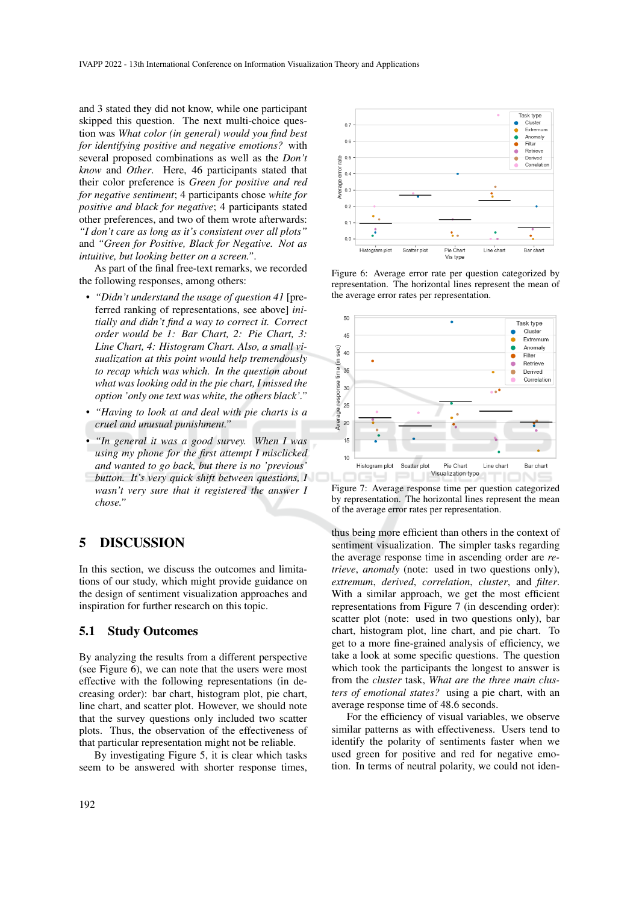and 3 stated they did not know, while one participant skipped this question. The next multi-choice question was *What color (in general) would you find best for identifying positive and negative emotions?* with several proposed combinations as well as the *Don't know* and *Other*. Here, 46 participants stated that their color preference is *Green for positive and red for negative sentiment*; 4 participants chose *white for positive and black for negative*; 4 participants stated other preferences, and two of them wrote afterwards: *"I don't care as long as it's consistent over all plots"* and *"Green for Positive, Black for Negative. Not as intuitive, but looking better on a screen."*.

As part of the final free-text remarks, we recorded the following responses, among others:

- *"Didn't understand the usage of question 41* [preferred ranking of representations, see above] *initially and didn't find a way to correct it. Correct order would be 1: Bar Chart, 2: Pie Chart, 3: Line Chart, 4: Histogram Chart. Also, a small visualization at this point would help tremendously to recap which was which. In the question about what was looking odd in the pie chart, I missed the option 'only one text was white, the others black'."*
- *"Having to look at and deal with pie charts is a cruel and unusual punishment."*
- *"In general it was a good survey. When I was using my phone for the first attempt I misclicked and wanted to go back, but there is no 'previous' button. It's very quick shift between questions, I wasn't very sure that it registered the answer I chose."*

# 5 DISCUSSION

In this section, we discuss the outcomes and limitations of our study, which might provide guidance on the design of sentiment visualization approaches and inspiration for further research on this topic.

#### 5.1 Study Outcomes

By analyzing the results from a different perspective (see Figure 6), we can note that the users were most effective with the following representations (in decreasing order): bar chart, histogram plot, pie chart, line chart, and scatter plot. However, we should note that the survey questions only included two scatter plots. Thus, the observation of the effectiveness of that particular representation might not be reliable.

By investigating Figure 5, it is clear which tasks seem to be answered with shorter response times,



Figure 6: Average error rate per question categorized by representation. The horizontal lines represent the mean of the average error rates per representation.



Figure 7: Average response time per question categorized by representation. The horizontal lines represent the mean of the average error rates per representation.

thus being more efficient than others in the context of sentiment visualization. The simpler tasks regarding the average response time in ascending order are *retrieve*, *anomaly* (note: used in two questions only), *extremum*, *derived*, *correlation*, *cluster*, and *filter*. With a similar approach, we get the most efficient representations from Figure 7 (in descending order): scatter plot (note: used in two questions only), bar chart, histogram plot, line chart, and pie chart. To get to a more fine-grained analysis of efficiency, we take a look at some specific questions. The question which took the participants the longest to answer is from the *cluster* task, *What are the three main clusters of emotional states?* using a pie chart, with an average response time of 48.6 seconds.

For the efficiency of visual variables, we observe similar patterns as with effectiveness. Users tend to identify the polarity of sentiments faster when we used green for positive and red for negative emotion. In terms of neutral polarity, we could not iden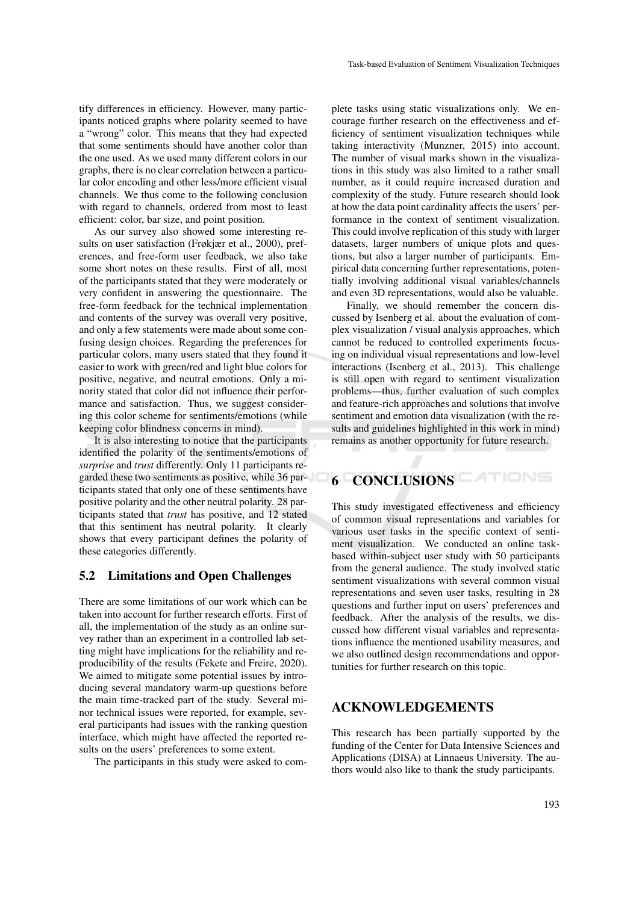tify differences in efficiency. However, many participants noticed graphs where polarity seemed to have a "wrong" color. This means that they had expected that some sentiments should have another color than the one used. As we used many different colors in our graphs, there is no clear correlation between a particular color encoding and other less/more efficient visual channels. We thus come to the following conclusion with regard to channels, ordered from most to least efficient: color, bar size, and point position.

As our survey also showed some interesting results on user satisfaction (Frøkjær et al., 2000), preferences, and free-form user feedback, we also take some short notes on these results. First of all, most of the participants stated that they were moderately or very confident in answering the questionnaire. The free-form feedback for the technical implementation and contents of the survey was overall very positive, and only a few statements were made about some confusing design choices. Regarding the preferences for particular colors, many users stated that they found it easier to work with green/red and light blue colors for positive, negative, and neutral emotions. Only a minority stated that color did not influence their performance and satisfaction. Thus, we suggest considering this color scheme for sentiments/emotions (while keeping color blindness concerns in mind).

It is also interesting to notice that the participants identified the polarity of the sentiments/emotions of *surprise* and *trust* differently. Only 11 participants regarded these two sentiments as positive, while 36 participants stated that only one of these sentiments have positive polarity and the other neutral polarity. 28 participants stated that *trust* has positive, and 12 stated that this sentiment has neutral polarity. It clearly shows that every participant defines the polarity of these categories differently.

## 5.2 Limitations and Open Challenges

There are some limitations of our work which can be taken into account for further research efforts. First of all, the implementation of the study as an online survey rather than an experiment in a controlled lab setting might have implications for the reliability and reproducibility of the results (Fekete and Freire, 2020). We aimed to mitigate some potential issues by introducing several mandatory warm-up questions before the main time-tracked part of the study. Several minor technical issues were reported, for example, several participants had issues with the ranking question interface, which might have affected the reported results on the users' preferences to some extent.

The participants in this study were asked to com-

plete tasks using static visualizations only. We encourage further research on the effectiveness and efficiency of sentiment visualization techniques while taking interactivity (Munzner, 2015) into account. The number of visual marks shown in the visualizations in this study was also limited to a rather small number, as it could require increased duration and complexity of the study. Future research should look at how the data point cardinality affects the users' performance in the context of sentiment visualization. This could involve replication of this study with larger datasets, larger numbers of unique plots and questions, but also a larger number of participants. Empirical data concerning further representations, potentially involving additional visual variables/channels and even 3D representations, would also be valuable.

Finally, we should remember the concern discussed by Isenberg et al. about the evaluation of complex visualization / visual analysis approaches, which cannot be reduced to controlled experiments focusing on individual visual representations and low-level interactions (Isenberg et al., 2013). This challenge is still open with regard to sentiment visualization problems—thus, further evaluation of such complex and feature-rich approaches and solutions that involve sentiment and emotion data visualization (with the results and guidelines highlighted in this work in mind) remains as another opportunity for future research.

# 6 CONCLUSIONS

This study investigated effectiveness and efficiency of common visual representations and variables for various user tasks in the specific context of sentiment visualization. We conducted an online taskbased within-subject user study with 50 participants from the general audience. The study involved static sentiment visualizations with several common visual representations and seven user tasks, resulting in 28 questions and further input on users' preferences and feedback. After the analysis of the results, we discussed how different visual variables and representations influence the mentioned usability measures, and we also outlined design recommendations and opportunities for further research on this topic.

## ACKNOWLEDGEMENTS

This research has been partially supported by the funding of the Center for Data Intensive Sciences and Applications (DISA) at Linnaeus University. The authors would also like to thank the study participants.